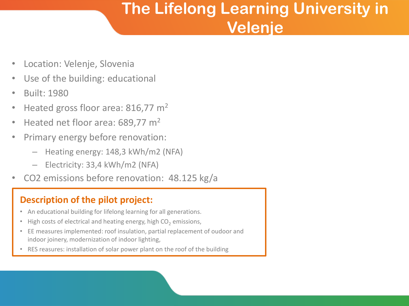# **The Lifelong Learning University in Velenje**

- Location: Velenje, Slovenia
- Use of the building: educational
- Built: 1980
- Heated gross floor area:  $816,77$  m<sup>2</sup>
- Heated net floor area: 689,77 m<sup>2</sup>
- Primary energy before renovation:
	- Heating energy: 148,3 kWh/m2 (NFA)
	- Electricity: 33,4 kWh/m2 (NFA)
- CO2 emissions before renovation: 48.125 kg/a

### **Description of the pilot project:**

- An educational building for lifelong learning for all generations.
- High costs of electrical and heating energy, high  $CO<sub>2</sub>$  emissions,
- EE measures implemented: roof insulation, partial replacement of oudoor and indoor joinery, modernization of indoor lighting,
- RES reasures: installation of solar power plant on the roof of the building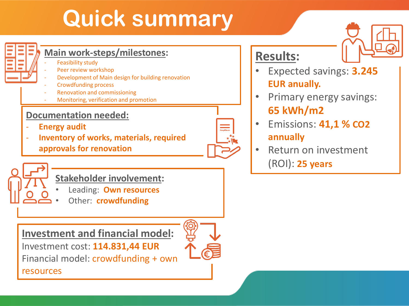# **Quick summary**



### **Main work-steps/milestones:**

- Feasibility study
- Peer review workshop
- Development of Main design for building renovation
- Crowdfunding process
- Renovation and commissioning
- Monitoring, verification and promotion

### **Documentation needed:**

- **Energy audit**
- **Inventory of works, materials, required approvals for renovation**



## **Stakeholder involvement:**

- Leading: **Own resources**
- Other: **crowdfunding**

**Investment and financial model:**

Investment cost: **114.831,44 EUR**

Financial model: crowdfunding + own

resources



## **Results:**

- Expected savings: **3.245 EUR anually.**
- Primary energy savings: **65 kWh/m2**
- Emissions: **41,1 % CO2 annually**
- Return on investment (ROI): **25 years**